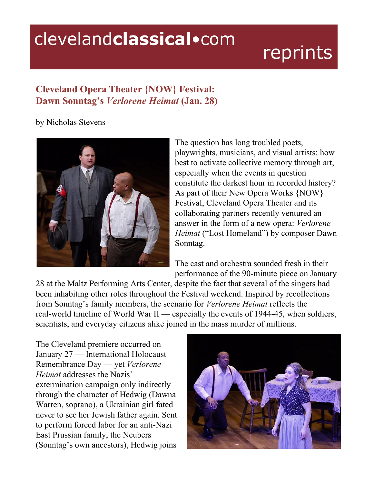# clevelandclassical.com

# reprints

## **Cleveland Opera Theater {NOW} Festival: Dawn Sonntag's** *Verlorene Heimat* **(Jan. 28)**

#### by Nicholas Stevens



The question has long troubled poets, playwrights, musicians, and visual artists: how best to activate collective memory through art, especially when the events in question constitute the darkest hour in recorded history? As part of their New Opera Works {NOW} Festival, Cleveland Opera Theater and its collaborating partners recently ventured an answer in the form of a new opera: *Verlorene Heimat* ("Lost Homeland") by composer Dawn Sonntag.

The cast and orchestra sounded fresh in their performance of the 90-minute piece on January

28 at the Maltz Performing Arts Center, despite the fact that several of the singers had been inhabiting other roles throughout the Festival weekend. Inspired by recollections from Sonntag's family members, the scenario for *Verlorene Heimat* reflects the real-world timeline of World War II — especially the events of 1944-45, when soldiers, scientists, and everyday citizens alike joined in the mass murder of millions.

The Cleveland premiere occurred on January 27 — International Holocaust Remembrance Day — yet *Verlorene Heimat* addresses the Nazis' extermination campaign only indirectly through the character of Hedwig (Dawna Warren, soprano), a Ukrainian girl fated never to see her Jewish father again. Sent to perform forced labor for an anti-Nazi East Prussian family, the Neubers (Sonntag's own ancestors), Hedwig joins

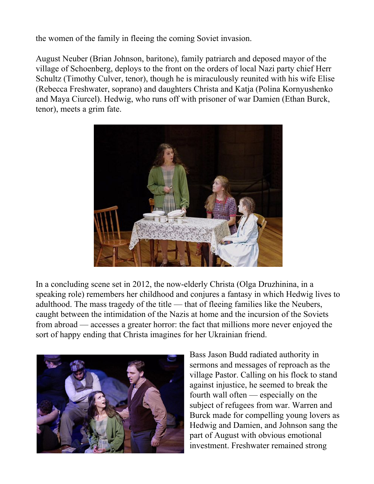the women of the family in fleeing the coming Soviet invasion.

August Neuber (Brian Johnson, baritone), family patriarch and deposed mayor of the village of Schoenberg, deploys to the front on the orders of local Nazi party chief Herr Schultz (Timothy Culver, tenor), though he is miraculously reunited with his wife Elise (Rebecca Freshwater, soprano) and daughters Christa and Katja (Polina Kornyushenko and Maya Ciurcel). Hedwig, who runs off with prisoner of war Damien (Ethan Burck, tenor), meets a grim fate.



In a concluding scene set in 2012, the now-elderly Christa (Olga Druzhinina, in a speaking role) remembers her childhood and conjures a fantasy in which Hedwig lives to adulthood. The mass tragedy of the title — that of fleeing families like the Neubers, caught between the intimidation of the Nazis at home and the incursion of the Soviets from abroad — accesses a greater horror: the fact that millions more never enjoyed the sort of happy ending that Christa imagines for her Ukrainian friend.



Bass Jason Budd radiated authority in sermons and messages of reproach as the village Pastor. Calling on his flock to stand against injustice, he seemed to break the fourth wall often — especially on the subject of refugees from war. Warren and Burck made for compelling young lovers as Hedwig and Damien, and Johnson sang the part of August with obvious emotional investment. Freshwater remained strong